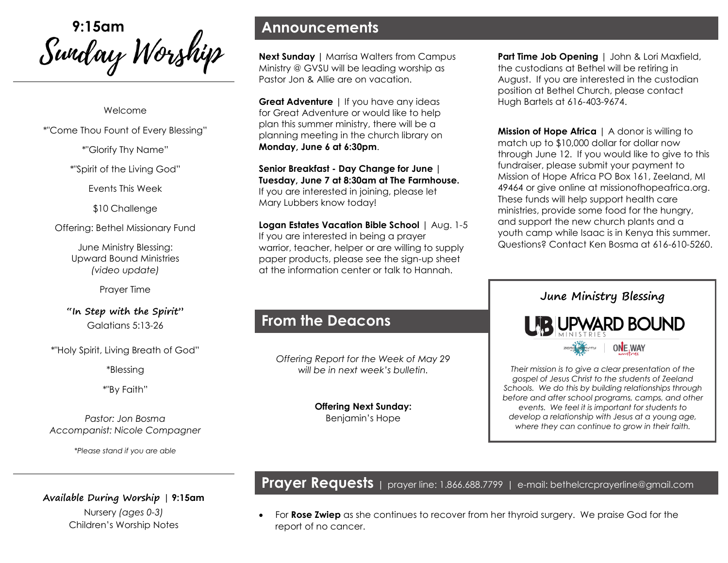Swidou*y Worship* 

Welcome

\*"Come Thou Fount of Every Blessing"

\*"Glorify Thy Name"

\*"Spirit of the Living God"

Events This Week

\$10 Challenge

Offering: Bethel Missionary Fund

June Ministry Blessing: Upward Bound Ministries *(video update)*

Prayer Time

**"In Step with the Spirit"** Galatians 5:13-26

\*"Holy Spirit, Living Breath of God"

\*Blessing

\*"By Faith"

*Pastor: Jon Bosma Accompanist: Nicole Compagner*

*\*Please stand if you are able*

**Announcements**

**Next Sunday | Marrisa Walters from Campus** Ministry @ GVSU will be leading worship as Pastor Jon & Allie are on vacation.

**Great Adventure** | If you have any ideas for Great Adventure or would like to help plan this summer ministry, there will be a planning meeting in the church library on **Monday, June 6 at 6:30pm**.

**Senior Breakfast - Day Change for June | Tuesday, June 7 at 8:30am at The Farmhouse.**  If you are interested in joining, please let Mary Lubbers know today!

**Logan Estates Vacation Bible School** | Aug. 1-5 If you are interested in being a prayer warrior, teacher, helper or are willing to supply paper products, please see the sign-up sheet at the information center or talk to Hannah.

# **From the Deacons**

*Offering Report for the Week of May 29 will be in next week's bulletin.*

> **Offering Next Sunday:**  Benjamin's Hope

**Part Time Job Opening** | John & Lori Maxfield, the custodians at Bethel will be retiring in August. If you are interested in the custodian position at Bethel Church, please contact Hugh Bartels at 616-403-9674.

**Mission of Hope Africa** | A donor is willing to match up to \$10,000 dollar for dollar now through June 12. If you would like to give to this fundraiser, please submit your payment to Mission of Hope Africa PO Box 161, Zeeland, MI 49464 or give online at missionofhopeafrica.org. These funds will help support health care ministries, provide some food for the hungry, and support the new church plants and a youth camp while Isaac is in Kenya this summer. Questions? Contact Ken Bosma at 616-610-5260.

# **June Ministry Blessing BUPWARD BOUND**



*Their mission is to give a clear presentation of the gospel of Jesus Christ to the students of Zeeland Schools. We do this by building relationships through before and after school programs, camps, and other events. We feel it is important for students to develop a relationship with Jesus at a young age, where they can continue to grow in their faith.* 

**Prayer Requests** | prayer line: 1.866.688.7799 | e-mail: bethelcrcprayerline@gmail.com

• For **Rose Zwiep** as she continues to recover from her thyroid surgery. We praise God for the report of no cancer.

**Available During Worship | 9:15am**  Nursery *(ages 0-3)* Children's Worship Notes